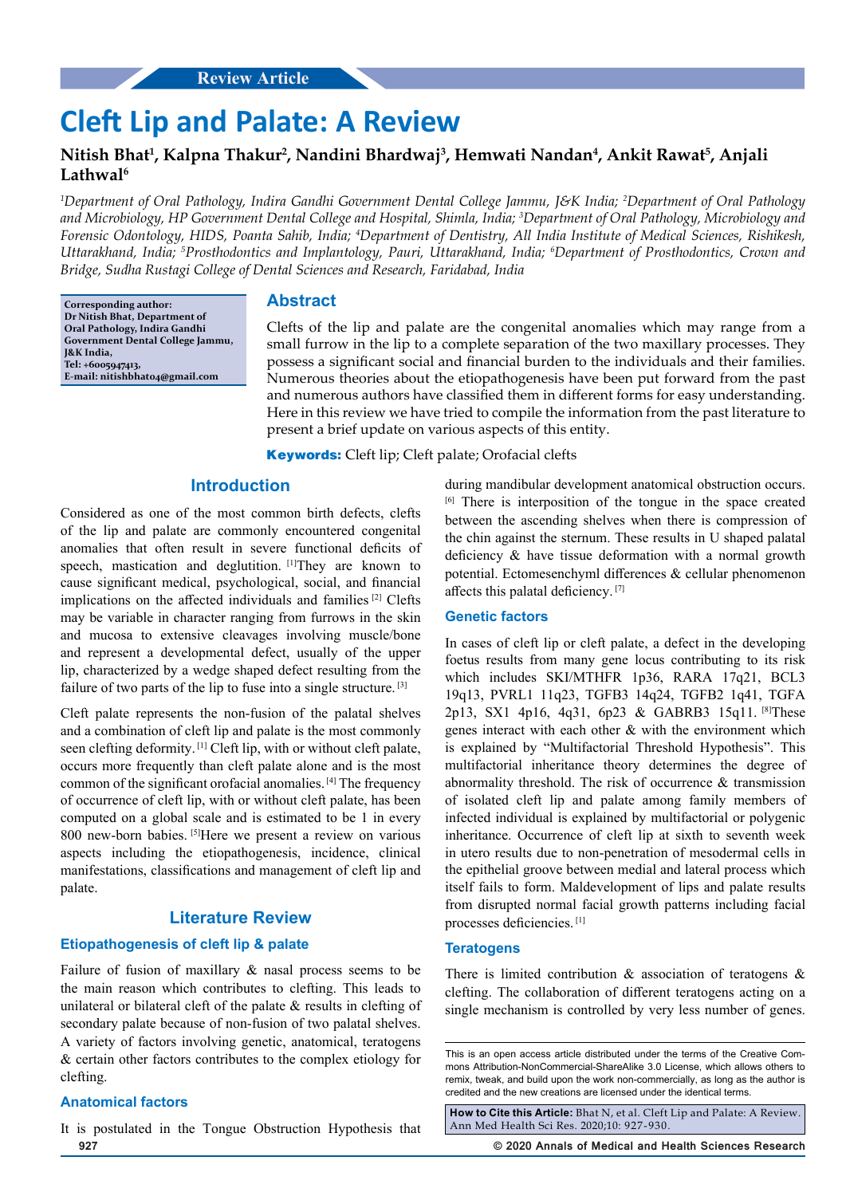# **Cleft Lip and Palate: A Review**

## **Nitish Bhat1 , Kalpna Thakur2 , Nandini Bhardwaj3 , Hemwati Nandan4 , Ankit Rawat5 , Anjali Lathwal6**

*1 Department of Oral Pathology, Indira Gandhi Government Dental College Jammu, J&K India; 2 Department of Oral Pathology and Microbiology, HP Government Dental College and Hospital, Shimla, India; 3 Department of Oral Pathology, Microbiology and Forensic Odontology, HIDS, Poanta Sahib, India; 4 Department of Dentistry, All India Institute of Medical Sciences, Rishikesh, Uttarakhand, India; 5 Prosthodontics and Implantology, Pauri, Uttarakhand, India; 6 Department of Prosthodontics, Crown and Bridge, Sudha Rustagi College of Dental Sciences and Research, Faridabad, India*

**Corresponding author: Dr Nitish Bhat, Department of Oral Pathology, Indira Gandhi Government Dental College Jammu, J&K India, Tel: +6005947413, E-mail: nitishbhat04@gmail.com**

## **Abstract**

Clefts of the lip and palate are the congenital anomalies which may range from a small furrow in the lip to a complete separation of the two maxillary processes. They possess a significant social and financial burden to the individuals and their families. Numerous theories about the etiopathogenesis have been put forward from the past and numerous authors have classified them in different forms for easy understanding. Here in this review we have tried to compile the information from the past literature to present a brief update on various aspects of this entity.

**Keywords:** Cleft lip; Cleft palate; Orofacial clefts

## **Introduction**

Considered as one of the most common birth defects, clefts of the lip and palate are commonly encountered congenital anomalies that often result in severe functional deficits of speech, mastication and deglutition. [1] They are known to cause significant medical, psychological, social, and financial implications on the affected individuals and families [2] Clefts may be variable in character ranging from furrows in the skin and mucosa to extensive cleavages involving muscle/bone and represent a developmental defect, usually of the upper lip, characterized by a wedge shaped defect resulting from the failure of two parts of the lip to fuse into a single structure. [3]

Cleft palate represents the non-fusion of the palatal shelves and a combination of cleft lip and palate is the most commonly seen clefting deformity. [1] Cleft lip, with or without cleft palate, occurs more frequently than cleft palate alone and is the most common of the significant orofacial anomalies. [4] The frequency of occurrence of cleft lip, with or without cleft palate, has been computed on a global scale and is estimated to be 1 in every 800 new-born babies. [5]Here we present a review on various aspects including the etiopathogenesis, incidence, clinical manifestations, classifications and management of cleft lip and palate.

## **Literature Review**

## **Etiopathogenesis of cleft lip & palate**

Failure of fusion of maxillary & nasal process seems to be the main reason which contributes to clefting. This leads to unilateral or bilateral cleft of the palate & results in clefting of secondary palate because of non-fusion of two palatal shelves. A variety of factors involving genetic, anatomical, teratogens & certain other factors contributes to the complex etiology for clefting.

#### **Anatomical factors**

**927 © 2020 Annals of Medical and Health Sciences Research**  It is postulated in the Tongue Obstruction Hypothesis that

during mandibular development anatomical obstruction occurs. [6] There is interposition of the tongue in the space created between the ascending shelves when there is compression of the chin against the sternum. These results in U shaped palatal deficiency & have tissue deformation with a normal growth potential. Ectomesenchyml differences & cellular phenomenon affects this palatal deficiency. [7]

#### **Genetic factors**

In cases of cleft lip or cleft palate, a defect in the developing foetus results from many gene locus contributing to its risk which includes SKI/MTHFR 1p36, RARA 17q21, BCL3 19q13, PVRL1 11q23, TGFB3 14q24, TGFB2 1q41, TGFA 2p13, SX1 4p16, 4q31, 6p23 & GABRB3 15q11. [8]These genes interact with each other & with the environment which is explained by "Multifactorial Threshold Hypothesis". This multifactorial inheritance theory determines the degree of abnormality threshold. The risk of occurrence & transmission of isolated cleft lip and palate among family members of infected individual is explained by multifactorial or polygenic inheritance. Occurrence of cleft lip at sixth to seventh week in utero results due to non-penetration of mesodermal cells in the epithelial groove between medial and lateral process which itself fails to form. Maldevelopment of lips and palate results from disrupted normal facial growth patterns including facial processes deficiencies. [1]

#### **Teratogens**

There is limited contribution & association of teratogens & clefting. The collaboration of different teratogens acting on a single mechanism is controlled by very less number of genes.

**How to Cite this Article:** Bhat N, et al. Cleft Lip and Palate: A Review. Ann Med Health Sci Res. 2020;10: 927-930.

This is an open access article distributed under the terms of the Creative Com‑ mons Attribution-NonCommercial-ShareAlike 3.0 License, which allows others to remix, tweak, and build upon the work non‑commercially, as long as the author is credited and the new creations are licensed under the identical terms.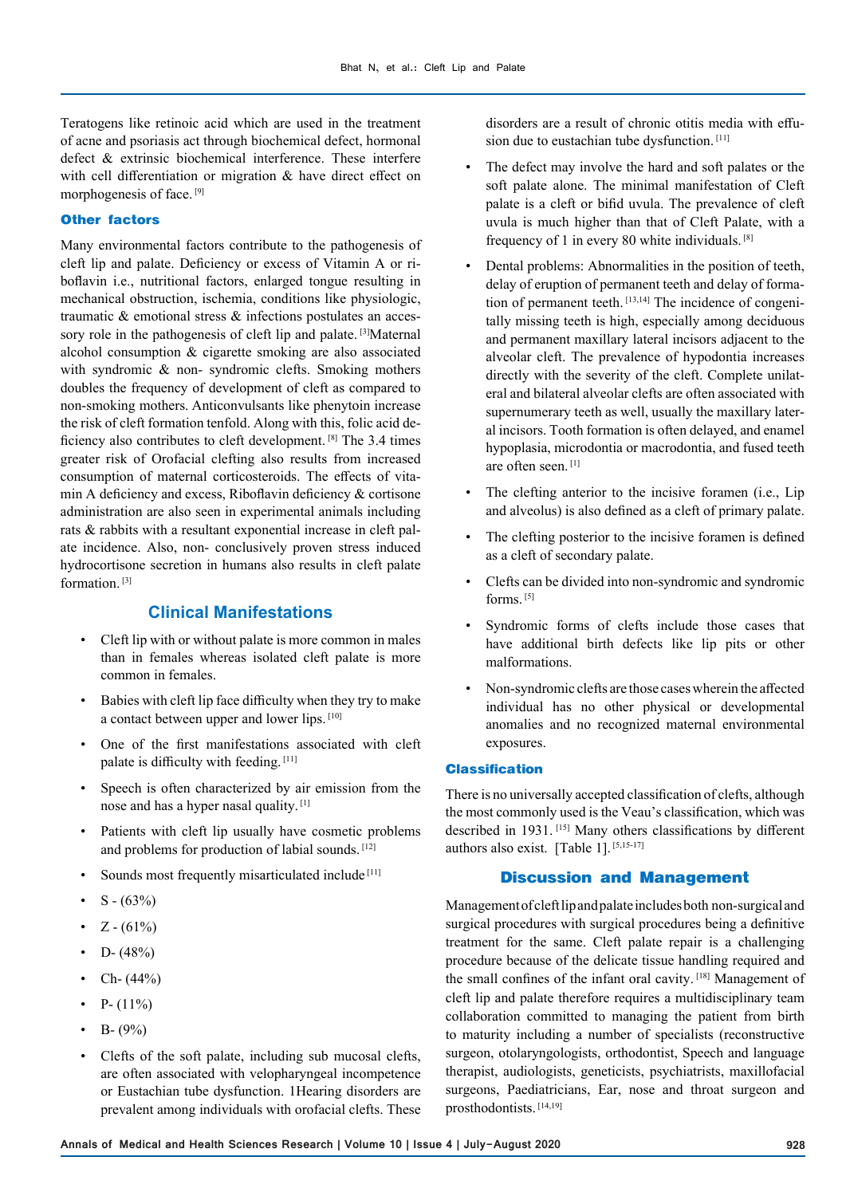Teratogens like retinoic acid which are used in the treatment of acne and psoriasis act through biochemical defect, hormonal defect & extrinsic biochemical interference. These interfere with cell differentiation or migration & have direct effect on morphogenesis of face. [9]

## **Other factors**

Many environmental factors contribute to the pathogenesis of cleft lip and palate. Deficiency or excess of Vitamin A or riboflavin i.e., nutritional factors, enlarged tongue resulting in mechanical obstruction, ischemia, conditions like physiologic, traumatic & emotional stress & infections postulates an accessory role in the pathogenesis of cleft lip and palate. [3]Maternal alcohol consumption & cigarette smoking are also associated with syndromic & non- syndromic clefts. Smoking mothers doubles the frequency of development of cleft as compared to non-smoking mothers. Anticonvulsants like phenytoin increase the risk of cleft formation tenfold. Along with this, folic acid deficiency also contributes to cleft development. [8] The 3.4 times greater risk of Orofacial clefting also results from increased consumption of maternal corticosteroids. The effects of vitamin A deficiency and excess, Riboflavin deficiency & cortisone administration are also seen in experimental animals including rats & rabbits with a resultant exponential increase in cleft palate incidence. Also, non- conclusively proven stress induced hydrocortisone secretion in humans also results in cleft palate formation.<sup>[3]</sup>

## **Clinical Manifestations**

- Cleft lip with or without palate is more common in males than in females whereas isolated cleft palate is more common in females.
- Babies with cleft lip face difficulty when they try to make a contact between upper and lower lips. [10]
- One of the first manifestations associated with cleft palate is difficulty with feeding. [11]
- Speech is often characterized by air emission from the nose and has a hyper nasal quality. [1]
- Patients with cleft lip usually have cosmetic problems and problems for production of labial sounds. [12]
- Sounds most frequently misarticulated include [11]
- $S (63%)$
- $Z (61\%)$
- $D (48%)$
- Ch-  $(44%)$
- $P (11\%)$
- B-  $(9\%)$
- Clefts of the soft palate, including sub mucosal clefts, are often associated with velopharyngeal incompetence or Eustachian tube dysfunction. 1Hearing disorders are prevalent among individuals with orofacial clefts. These

disorders are a result of chronic otitis media with effusion due to eustachian tube dysfunction. [11]

- The defect may involve the hard and soft palates or the soft palate alone. The minimal manifestation of Cleft palate is a cleft or bifid uvula. The prevalence of cleft uvula is much higher than that of Cleft Palate, with a frequency of 1 in every 80 white individuals. [8]
- Dental problems: Abnormalities in the position of teeth, delay of eruption of permanent teeth and delay of formation of permanent teeth. [13,14] The incidence of congenitally missing teeth is high, especially among deciduous and permanent maxillary lateral incisors adjacent to the alveolar cleft. The prevalence of hypodontia increases directly with the severity of the cleft. Complete unilateral and bilateral alveolar clefts are often associated with supernumerary teeth as well, usually the maxillary lateral incisors. Tooth formation is often delayed, and enamel hypoplasia, microdontia or macrodontia, and fused teeth are often seen. [1]
- The clefting anterior to the incisive foramen (i.e., Lip and alveolus) is also defined as a cleft of primary palate.
- The clefting posterior to the incisive foramen is defined as a cleft of secondary palate.
- Clefts can be divided into non-syndromic and syndromic forms. [5]
- Syndromic forms of clefts include those cases that have additional birth defects like lip pits or other malformations.
- Non-syndromic clefts are those cases wherein the affected individual has no other physical or developmental anomalies and no recognized maternal environmental exposures.

#### **Classification**

There is no universally accepted classification of clefts, although the most commonly used is the Veau's classification, which was described in 1931. [15] Many others classifications by different authors also exist. [Table 1]. [5,15-17]

## **Discussion and Management**

Management of cleft lip and palate includes both non-surgical and surgical procedures with surgical procedures being a definitive treatment for the same. Cleft palate repair is a challenging procedure because of the delicate tissue handling required and the small confines of the infant oral cavity. [18] Management of cleft lip and palate therefore requires a multidisciplinary team collaboration committed to managing the patient from birth to maturity including a number of specialists (reconstructive surgeon, otolaryngologists, orthodontist, Speech and language therapist, audiologists, geneticists, psychiatrists, maxillofacial surgeons, Paediatricians, Ear, nose and throat surgeon and prosthodontists. [14,19]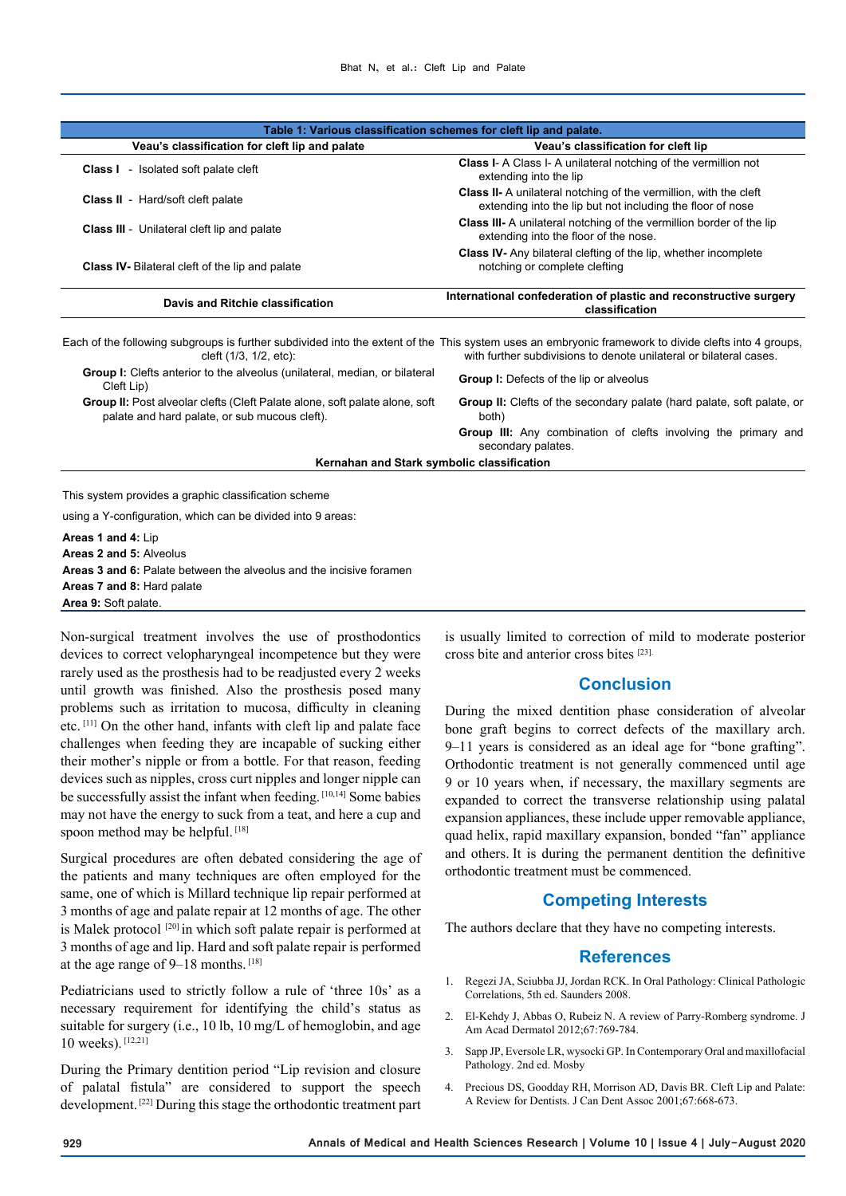| Table 1: Various classification schemes for cleft lip and palate.                                                                                                              |                                                                                                                                        |
|--------------------------------------------------------------------------------------------------------------------------------------------------------------------------------|----------------------------------------------------------------------------------------------------------------------------------------|
| Veau's classification for cleft lip and palate                                                                                                                                 | Veau's classification for cleft lip                                                                                                    |
| <b>Class I</b> - Isolated soft palate cleft                                                                                                                                    | <b>Class I- A Class I- A unilateral notching of the vermillion not</b><br>extending into the lip                                       |
| <b>Class II</b> - Hard/soft cleft palate                                                                                                                                       | <b>Class II-</b> A unilateral notching of the vermillion, with the cleft<br>extending into the lip but not including the floor of nose |
| <b>Class III</b> - Unilateral cleft lip and palate                                                                                                                             | <b>Class III-</b> A unilateral notching of the vermillion border of the lip<br>extending into the floor of the nose.                   |
| <b>Class IV-</b> Bilateral cleft of the lip and palate                                                                                                                         | <b>Class IV-</b> Any bilateral clefting of the lip, whether incomplete<br>notching or complete clefting                                |
| Davis and Ritchie classification                                                                                                                                               | International confederation of plastic and reconstructive surgery<br>classification                                                    |
| Each of the following subgroups is further subdivided into the extent of the This system uses an embryonic framework to divide clefts into 4 groups,<br>cleft (1/3, 1/2, etc): | with further subdivisions to denote unilateral or bilateral cases                                                                      |
| <b>Group I:</b> Clefts anterior to the alveolus (unilateral, median, or bilateral<br>Cleft Lip)                                                                                | <b>Group I:</b> Defects of the lip or alveolus                                                                                         |

**Group II:** Post alveolar clefts (Cleft Palate alone, soft palate alone, soft palate and hard palate, or sub mucous cleft).

**Group II:** Clefts of the secondary palate (hard palate, soft palate, or both)

**Group III:** Any combination of clefts involving the primary and secondary palates.

**Kernahan and Stark symbolic classification**

This system provides a graphic classification scheme

using a Y-configuration, which can be divided into 9 areas:

**Areas 1 and 4:** Lip **Areas 2 and 5:** Alveolus **Areas 3 and 6:** Palate between the alveolus and the incisive foramen **Areas 7 and 8:** Hard palate **Area 9:** Soft palate.

Non-surgical treatment involves the use of prosthodontics devices to correct velopharyngeal incompetence but they were rarely used as the prosthesis had to be readjusted every 2 weeks until growth was finished. Also the prosthesis posed many problems such as irritation to mucosa, difficulty in cleaning etc. [11] On the other hand, infants with cleft lip and palate face challenges when feeding they are incapable of sucking either their mother's nipple or from a bottle. For that reason, feeding devices such as nipples, cross curt nipples and longer nipple can be successfully assist the infant when feeding. [10,14] Some babies may not have the energy to suck from a teat, and here a cup and spoon method may be helpful. [18]

Surgical procedures are often debated considering the age of the patients and many techniques are often employed for the same, one of which is Millard technique lip repair performed at 3 months of age and palate repair at 12 months of age. The other is Malek protocol  $[20]$  in which soft palate repair is performed at 3 months of age and lip. Hard and soft palate repair is performed at the age range of 9–18 months. [18]

Pediatricians used to strictly follow a rule of 'three 10s' as a necessary requirement for identifying the child's status as suitable for surgery (i.e., 10 lb, 10 mg/L of hemoglobin, and age 10 weeks). [12,21]

During the Primary dentition period "Lip revision and closure of palatal fistula" are considered to support the speech development. [22] During this stage the orthodontic treatment part

is usually limited to correction of mild to moderate posterior cross bite and anterior cross bites [23].

## **Conclusion**

During the mixed dentition phase consideration of alveolar bone graft begins to correct defects of the maxillary arch. 9–11 years is considered as an ideal age for "bone grafting". Orthodontic treatment is not generally commenced until age 9 or 10 years when, if necessary, the maxillary segments are expanded to correct the transverse relationship using palatal expansion appliances, these include upper removable appliance, quad helix, rapid maxillary expansion, bonded "fan" appliance and others. It is during the permanent dentition the definitive orthodontic treatment must be commenced.

## **Competing Interests**

The authors declare that they have no competing interests.

## **References**

- 1. Regezi JA, Sciubba JJ, Jordan RCK. In Oral Pathology: Clinical Pathologic Correlations, 5th ed. Saunders 2008.
- 2. El-Kehdy J, Abbas O, Rubeiz N. A review of Parry-Romberg syndrome. J Am Acad Dermatol 2012;67:769-784.
- 3. Sapp JP, Eversole LR, wysocki GP. In Contemporary Oral and maxillofacial Pathology. 2nd ed. Mosby
- 4. Precious DS, Goodday RH, Morrison AD, Davis BR. Cleft Lip and Palate: A Review for Dentists. J Can Dent Assoc 2001;67:668-673.